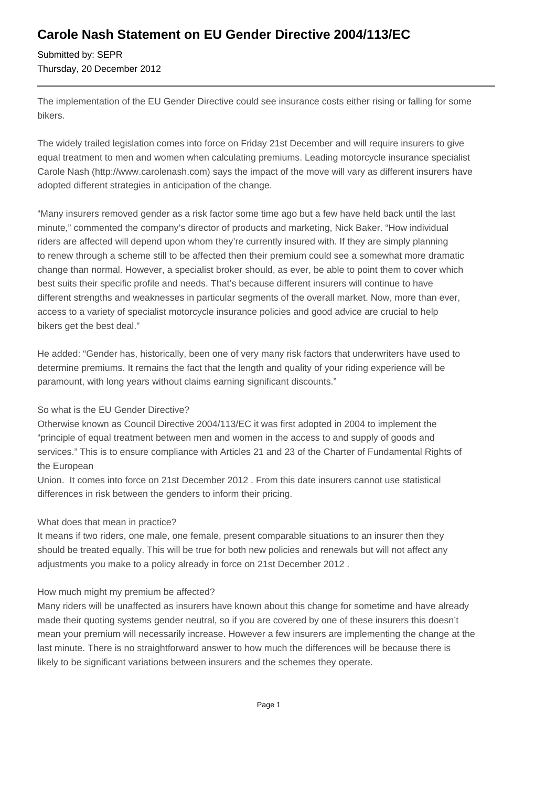## **Carole Nash Statement on EU Gender Directive 2004/113/EC**

Submitted by: SEPR Thursday, 20 December 2012

The implementation of the EU Gender Directive could see insurance costs either rising or falling for some bikers.

The widely trailed legislation comes into force on Friday 21st December and will require insurers to give equal treatment to men and women when calculating premiums. Leading motorcycle insurance specialist Carole Nash (http://www.carolenash.com) says the impact of the move will vary as different insurers have adopted different strategies in anticipation of the change.

"Many insurers removed gender as a risk factor some time ago but a few have held back until the last minute," commented the company's director of products and marketing, Nick Baker. "How individual riders are affected will depend upon whom they're currently insured with. If they are simply planning to renew through a scheme still to be affected then their premium could see a somewhat more dramatic change than normal. However, a specialist broker should, as ever, be able to point them to cover which best suits their specific profile and needs. That's because different insurers will continue to have different strengths and weaknesses in particular segments of the overall market. Now, more than ever, access to a variety of specialist motorcycle insurance policies and good advice are crucial to help bikers get the best deal."

He added: "Gender has, historically, been one of very many risk factors that underwriters have used to determine premiums. It remains the fact that the length and quality of your riding experience will be paramount, with long years without claims earning significant discounts."

### So what is the EU Gender Directive?

Otherwise known as Council Directive 2004/113/EC it was first adopted in 2004 to implement the "principle of equal treatment between men and women in the access to and supply of goods and services." This is to ensure compliance with Articles 21 and 23 of the Charter of Fundamental Rights of the European

Union. It comes into force on 21st December 2012 . From this date insurers cannot use statistical differences in risk between the genders to inform their pricing.

#### What does that mean in practice?

It means if two riders, one male, one female, present comparable situations to an insurer then they should be treated equally. This will be true for both new policies and renewals but will not affect any adjustments you make to a policy already in force on 21st December 2012 .

#### How much might my premium be affected?

Many riders will be unaffected as insurers have known about this change for sometime and have already made their quoting systems gender neutral, so if you are covered by one of these insurers this doesn't mean your premium will necessarily increase. However a few insurers are implementing the change at the last minute. There is no straightforward answer to how much the differences will be because there is likely to be significant variations between insurers and the schemes they operate.